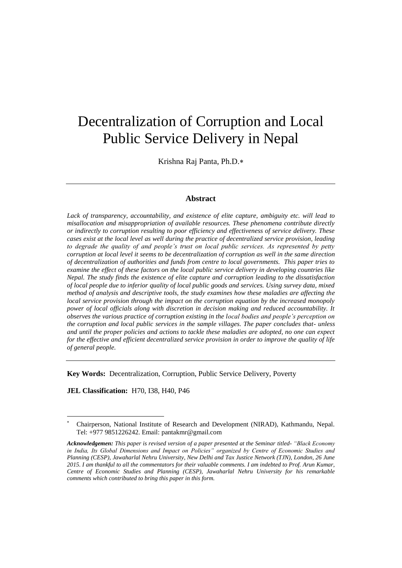# Decentralization of Corruption and Local Public Service Delivery in Nepal

Krishna Raj Panta, Ph.D.

## **Abstract**

*Lack of transparency, accountability, and existence of elite capture, ambiguity etc. will lead to misallocation and misappropriation of available resources. These phenomena contribute directly or indirectly to corruption resulting to poor efficiency and effectiveness of service delivery. These cases exist at the local level as well during the practice of decentralized service provision, leading to degrade the quality of and people's trust on local public services. As represented by petty corruption at local level it seems to be decentralization of corruption as well in the same direction of decentralization of authorities and funds from centre to local governments. This paper tries to examine the effect of these factors on the local public service delivery in developing countries like Nepal. The study finds the existence of elite capture and corruption leading to the dissatisfaction of local people due to inferior quality of local public goods and services. Using survey data, mixed method of analysis and descriptive tools, the study examines how these maladies are affecting the local service provision through the impact on the corruption equation by the increased monopoly power of local officials along with discretion in decision making and reduced accountability. It observes the various practice of corruption existing in the local bodies and people's perception on the corruption and local public services in the sample villages. The paper concludes that- unless and until the proper policies and actions to tackle these maladies are adopted, no one can expect for the effective and efficient decentralized service provision in order to improve the quality of life of general people.*

**Key Words:** Decentralization, Corruption, Public Service Delivery, Poverty

**JEL Classification:** H70, I38, H40, P46

1

<sup>×</sup>  Chairperson, National Institute of Research and Development (NIRAD), Kathmandu, Nepal. Tel: +977 9851226242. Email: [pantakmr@gmail.com](mailto:pantakmr@gmail.com)

*Acknowledgemen: This paper is revised version of a paper presented at the Seminar titled- "Black Economy in India, Its Global Dimensions and Impact on Policies" organized by Centre of Economic Studies and Planning (CESP), Jawaharlal Nehru University, New Delhi and Tax Justice Network (TJN), London, 26 June 2015. I am thankful to all the commentators for their valuable comments. I am indebted to Prof. Arun Kumar, Centre of Economic Studies and Planning (CESP), Jawaharlal Nehru University for his remarkable comments which contributed to bring this paper in this form.*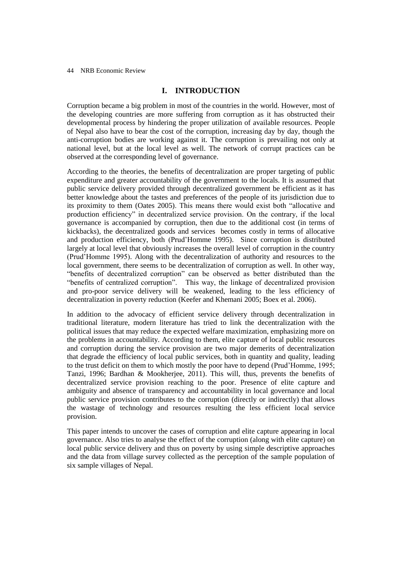# **I. INTRODUCTION**

Corruption became a big problem in most of the countries in the world. However, most of the developing countries are more suffering from corruption as it has obstructed their developmental process by hindering the proper utilization of available resources. People of Nepal also have to bear the cost of the corruption, increasing day by day, though the anti-corruption bodies are working against it. The corruption is prevailing not only at national level, but at the local level as well. The network of corrupt practices can be observed at the corresponding level of governance.

According to the theories, the benefits of decentralization are proper targeting of public expenditure and greater accountability of the government to the locals. It is assumed that public service delivery provided through decentralized government be efficient as it has better knowledge about the tastes and preferences of the people of its jurisdiction due to its proximity to them (Oates 2005). This means there would exist both "allocative and production efficiency" in decentralized service provision. On the contrary, if the local governance is accompanied by corruption, then due to the additional cost (in terms of kickbacks), the decentralized goods and services becomes costly in terms of allocative and production efficiency, both (Prud'Homme 1995). Since corruption is distributed largely at local level that obviously increases the overall level of corruption in the country (Prud'Homme 1995). Along with the decentralization of authority and resources to the local government, there seems to be decentralization of corruption as well. In other way, "benefits of decentralized corruption" can be observed as better distributed than the "benefits of centralized corruption". This way, the linkage of decentralized provision and pro-poor service delivery will be weakened, leading to the less efficiency of decentralization in poverty reduction (Keefer and Khemani 2005; Boex et al. 2006).

In addition to the advocacy of efficient service delivery through decentralization in traditional literature, modern literature has tried to link the decentralization with the political issues that may reduce the expected welfare maximization, emphasizing more on the problems in accountability. According to them, elite capture of local public resources and corruption during the service provision are two major demerits of decentralization that degrade the efficiency of local public services, both in quantity and quality, leading to the trust deficit on them to which mostly the poor have to depend (Prud'Homme, 1995; Tanzi, 1996; Bardhan & Mookherjee, 2011). This will, thus, prevents the benefits of decentralized service provision reaching to the poor. Presence of elite capture and ambiguity and absence of transparency and accountability in local governance and local public service provision contributes to the corruption (directly or indirectly) that allows the wastage of technology and resources resulting the less efficient local service provision.

This paper intends to uncover the cases of corruption and elite capture appearing in local governance. Also tries to analyse the effect of the corruption (along with elite capture) on local public service delivery and thus on poverty by using simple descriptive approaches and the data from village survey collected as the perception of the sample population of six sample villages of Nepal.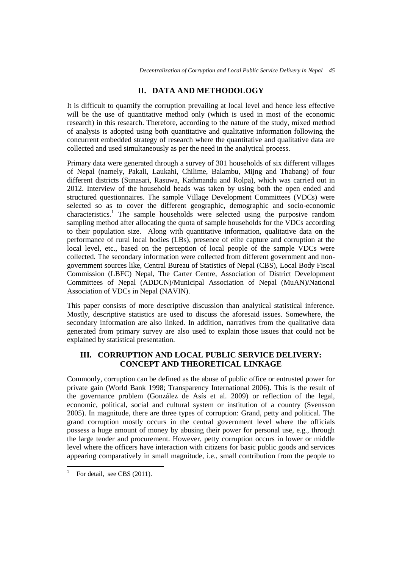# **II. DATA AND METHODOLOGY**

It is difficult to quantify the corruption prevailing at local level and hence less effective will be the use of quantitative method only (which is used in most of the economic research) in this research. Therefore, according to the nature of the study, mixed method of analysis is adopted using both quantitative and qualitative information following the concurrent embedded strategy of research where the quantitative and qualitative data are collected and used simultaneously as per the need in the analytical process.

Primary data were generated through a survey of 301 households of six different villages of Nepal (namely, Pakali, Laukahi, Chilime, Balambu, Mijng and Thabang) of four different districts (Sunasari, Rasuwa, Kathmandu and Rolpa), which was carried out in 2012. Interview of the household heads was taken by using both the open ended and structured questionnaires. The sample Village Development Committees (VDCs) were selected so as to cover the different geographic, demographic and socio-economic characteristics.<sup>1</sup> The sample households were selected using the purposive random sampling method after allocating the quota of sample households for the VDCs according to their population size. Along with quantitative information, qualitative data on the performance of rural local bodies (LBs), presence of elite capture and corruption at the local level, etc., based on the perception of local people of the sample VDCs were collected. The secondary information were collected from different government and nongovernment sources like, Central Bureau of Statistics of Nepal (CBS), Local Body Fiscal Commission (LBFC) Nepal, The Carter Centre, Association of District Development Committees of Nepal (ADDCN)/Municipal Association of Nepal (MuAN)/National Association of VDCs in Nepal (NAVIN).

This paper consists of more descriptive discussion than analytical statistical inference. Mostly, descriptive statistics are used to discuss the aforesaid issues. Somewhere, the secondary information are also linked. In addition, narratives from the qualitative data generated from primary survey are also used to explain those issues that could not be explained by statistical presentation.

# **III. CORRUPTION AND LOCAL PUBLIC SERVICE DELIVERY: CONCEPT AND THEORETICAL LINKAGE**

Commonly, corruption can be defined as the abuse of public office or entrusted power for private gain (World Bank 1998; Transparency International 2006). This is the result of the governance problem (González de Asís et al. 2009) or reflection of the legal, economic, political, social and cultural system or institution of a country (Svensson 2005). In magnitude, there are three types of corruption: Grand, petty and political. The grand corruption mostly occurs in the central government level where the officials possess a huge amount of money by abusing their power for personal use, e.g., through the large tender and procurement. However, petty corruption occurs in lower or middle level where the officers have interaction with citizens for basic public goods and services appearing comparatively in small magnitude, i.e., small contribution from the people to

 $\overline{a}$ 1

For detail, see CBS (2011).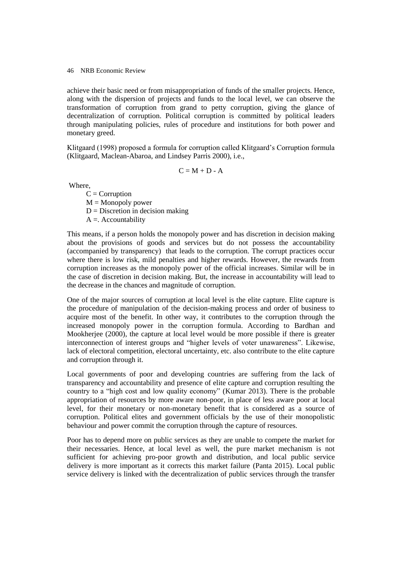achieve their basic need or from misappropriation of funds of the smaller projects. Hence, along with the dispersion of projects and funds to the local level, we can observe the transformation of corruption from grand to petty corruption, giving the glance of decentralization of corruption. Political corruption is committed by political leaders through manipulating policies, rules of procedure and institutions for both power and monetary greed.

Klitgaard (1998) proposed a formula for corruption called Klitgaard's Corruption formula (Klitgaard, Maclean-Abaroa, and Lindsey Parris 2000), i.e.,

 $C = M + D - A$ 

Where,

 $C = Corruption$  $M =$ Monopoly power  $D =$  Discretion in decision making  $A =$ . Accountability

This means, if a person holds the monopoly power and has discretion in decision making about the provisions of goods and services but do not possess the accountability (accompanied by transparency) that leads to the corruption. The corrupt practices occur where there is low risk, mild penalties and higher rewards. However, the rewards from corruption increases as the monopoly power of the official increases. Similar will be in the case of discretion in decision making. But, the increase in accountability will lead to the decrease in the chances and magnitude of corruption.

One of the major sources of corruption at local level is the elite capture. Elite capture is the procedure of manipulation of the decision-making process and order of business to acquire most of the benefit. In other way, it contributes to the corruption through the increased monopoly power in the corruption formula. According to Bardhan and Mookherjee (2000), the capture at local level would be more possible if there is greater interconnection of interest groups and "higher levels of voter unawareness". Likewise, lack of electoral competition, electoral uncertainty, etc. also contribute to the elite capture and corruption through it.

Local governments of poor and developing countries are suffering from the lack of transparency and accountability and presence of elite capture and corruption resulting the country to a "high cost and low quality economy" (Kumar 2013). There is the probable appropriation of resources by more aware non-poor, in place of less aware poor at local level, for their monetary or non-monetary benefit that is considered as a source of corruption. Political elites and government officials by the use of their monopolistic behaviour and power commit the corruption through the capture of resources.

Poor has to depend more on public services as they are unable to compete the market for their necessaries. Hence, at local level as well, the pure market mechanism is not sufficient for achieving pro-poor growth and distribution, and local public service delivery is more important as it corrects this market failure (Panta 2015). Local public service delivery is linked with the decentralization of public services through the transfer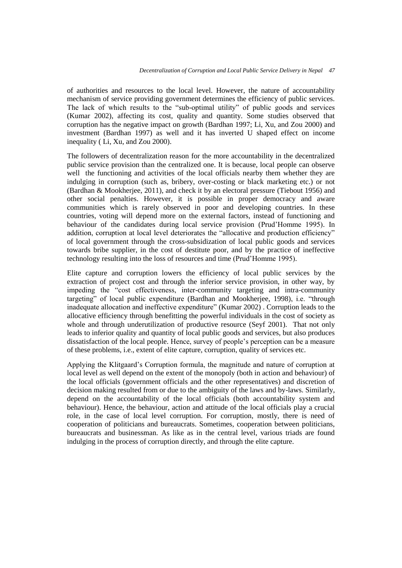of authorities and resources to the local level. However, the nature of accountability mechanism of service providing government determines the efficiency of public services. The lack of which results to the "sub-optimal utility" of public goods and services (Kumar 2002), affecting its cost, quality and quantity. Some studies observed that corruption has the negative impact on growth (Bardhan 1997; Li, Xu, and Zou 2000) and investment (Bardhan 1997) as well and it has inverted U shaped effect on income inequality ( Li, Xu, and Zou 2000).

The followers of decentralization reason for the more accountability in the decentralized public service provision than the centralized one. It is because, local people can observe well the functioning and activities of the local officials nearby them whether they are indulging in corruption (such as, bribery, over-costing or black marketing etc.) or not (Bardhan & Mookherjee, 2011), and check it by an electoral pressure (Tiebout 1956) and other social penalties. However, it is possible in proper democracy and aware communities which is rarely observed in poor and developing countries. In these countries, voting will depend more on the external factors, instead of functioning and behaviour of the candidates during local service provision (Prud'Homme 1995). In addition, corruption at local level deteriorates the "allocative and production efficiency" of local government through the cross-subsidization of local public goods and services towards bribe supplier, in the cost of destitute poor, and by the practice of ineffective technology resulting into the loss of resources and time (Prud'Homme 1995).

Elite capture and corruption lowers the efficiency of local public services by the extraction of project cost and through the inferior service provision, in other way, by impeding the "cost effectiveness, inter-community targeting and intra-community targeting" of local public expenditure (Bardhan and Mookherjee, 1998), i.e. "through inadequate allocation and ineffective expenditure" (Kumar 2002) . Corruption leads to the allocative efficiency through benefitting the powerful individuals in the cost of society as whole and through underutilization of productive resource (Seyf 2001). That not only leads to inferior quality and quantity of local public goods and services, but also produces dissatisfaction of the local people. Hence, survey of people's perception can be a measure of these problems, i.e., extent of elite capture, corruption, quality of services etc.

Applying the Klitgaard's Corruption formula, the magnitude and nature of corruption at local level as well depend on the extent of the monopoly (both in action and behaviour) of the local officials (government officials and the other representatives) and discretion of decision making resulted from or due to the ambiguity of the laws and by-laws. Similarly, depend on the accountability of the local officials (both accountability system and behaviour). Hence, the behaviour, action and attitude of the local officials play a crucial role, in the case of local level corruption. For corruption, mostly, there is need of cooperation of politicians and bureaucrats. Sometimes, cooperation between politicians, bureaucrats and businessman. As like as in the central level, various triads are found indulging in the process of corruption directly, and through the elite capture.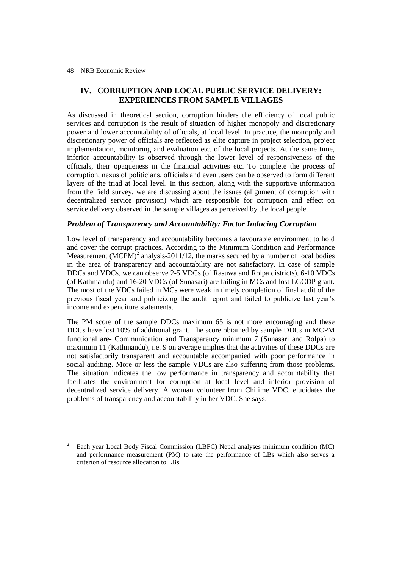1

# **IV. CORRUPTION AND LOCAL PUBLIC SERVICE DELIVERY: EXPERIENCES FROM SAMPLE VILLAGES**

As discussed in theoretical section, corruption hinders the efficiency of local public services and corruption is the result of situation of higher monopoly and discretionary power and lower accountability of officials, at local level. In practice, the monopoly and discretionary power of officials are reflected as elite capture in project selection, project implementation, monitoring and evaluation etc. of the local projects. At the same time, inferior accountability is observed through the lower level of responsiveness of the officials, their opaqueness in the financial activities etc. To complete the process of corruption, nexus of politicians, officials and even users can be observed to form different layers of the triad at local level. In this section, along with the supportive information from the field survey, we are discussing about the issues (alignment of corruption with decentralized service provision) which are responsible for corruption and effect on service delivery observed in the sample villages as perceived by the local people.

# *Problem of Transparency and Accountability: Factor Inducing Corruption*

Low level of transparency and accountability becomes a favourable environment to hold and cover the corrupt practices. According to the Minimum Condition and Performance Measurement  $(MCPM)^2$  analysis-2011/12, the marks secured by a number of local bodies in the area of transparency and accountability are not satisfactory. In case of sample DDCs and VDCs, we can observe 2-5 VDCs (of Rasuwa and Rolpa districts), 6-10 VDCs (of Kathmandu) and 16-20 VDCs (of Sunasari) are failing in MCs and lost LGCDP grant. The most of the VDCs failed in MCs were weak in timely completion of final audit of the previous fiscal year and publicizing the audit report and failed to publicize last year's income and expenditure statements.

The PM score of the sample DDCs maximum 65 is not more encouraging and these DDCs have lost 10% of additional grant. The score obtained by sample DDCs in MCPM functional are- Communication and Transparency minimum 7 (Sunasari and Rolpa) to maximum 11 (Kathmandu), i.e. 9 on average implies that the activities of these DDCs are not satisfactorily transparent and accountable accompanied with poor performance in social auditing. More or less the sample VDCs are also suffering from those problems. The situation indicates the low performance in transparency and accountability that facilitates the environment for corruption at local level and inferior provision of decentralized service delivery. A woman volunteer from Chilime VDC, elucidates the problems of transparency and accountability in her VDC. She says:

<sup>2</sup> Each year Local Body Fiscal Commission (LBFC) Nepal analyses minimum condition (MC) and performance measurement (PM) to rate the performance of LBs which also serves a criterion of resource allocation to LBs.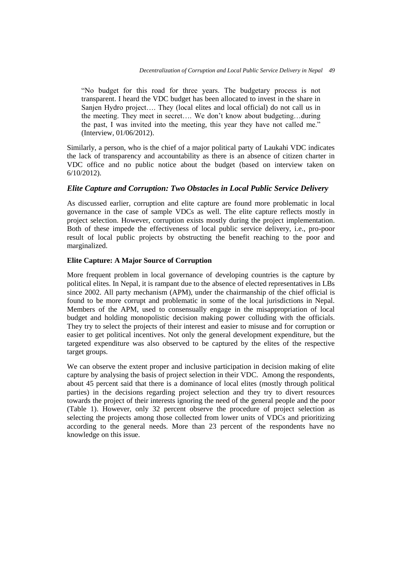"No budget for this road for three years. The budgetary process is not transparent. I heard the VDC budget has been allocated to invest in the share in Sanjen Hydro project…. They (local elites and local official) do not call us in the meeting. They meet in secret…. We don't know about budgeting…during the past, I was invited into the meeting, this year they have not called me." (Interview, 01/06/2012).

Similarly, a person, who is the chief of a major political party of Laukahi VDC indicates the lack of transparency and accountability as there is an absence of citizen charter in VDC office and no public notice about the budget (based on interview taken on 6/10/2012).

# *Elite Capture and Corruption: Two Obstacles in Local Public Service Delivery*

As discussed earlier, corruption and elite capture are found more problematic in local governance in the case of sample VDCs as well. The elite capture reflects mostly in project selection. However, corruption exists mostly during the project implementation. Both of these impede the effectiveness of local public service delivery, i.e., pro-poor result of local public projects by obstructing the benefit reaching to the poor and marginalized.

## **Elite Capture: A Major Source of Corruption**

More frequent problem in local governance of developing countries is the capture by political elites. In Nepal, it is rampant due to the absence of elected representatives in LBs since 2002. All party mechanism (APM), under the chairmanship of the chief official is found to be more corrupt and problematic in some of the local jurisdictions in Nepal. Members of the APM, used to consensually engage in the misappropriation of local budget and holding monopolistic decision making power colluding with the officials. They try to select the projects of their interest and easier to misuse and for corruption or easier to get political incentives. Not only the general development expenditure, but the targeted expenditure was also observed to be captured by the elites of the respective target groups.

We can observe the extent proper and inclusive participation in decision making of elite capture by analysing the basis of project selection in their VDC. Among the respondents, about 45 percent said that there is a dominance of local elites (mostly through political parties) in the decisions regarding project selection and they try to divert resources towards the project of their interests ignoring the need of the general people and the poor (Table 1). However, only 32 percent observe the procedure of project selection as selecting the projects among those collected from lower units of VDCs and prioritizing according to the general needs. More than 23 percent of the respondents have no knowledge on this issue.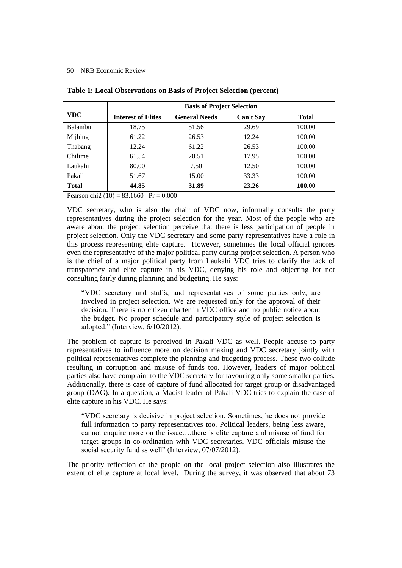|              | <b>Basis of Project Selection</b> |                      |                  |              |  |  |  |
|--------------|-----------------------------------|----------------------|------------------|--------------|--|--|--|
| VDC.         | <b>Interest of Elites</b>         | <b>General Needs</b> | <b>Can't Say</b> | <b>Total</b> |  |  |  |
| Balambu      | 18.75                             | 51.56                | 29.69            | 100.00       |  |  |  |
| Mijhing      | 61.22                             | 26.53                | 12.24            | 100.00       |  |  |  |
| Thabang      | 12.24                             | 61.22                | 26.53            | 100.00       |  |  |  |
| Chilime      | 61.54                             | 20.51                | 17.95            | 100.00       |  |  |  |
| Laukahi      | 80.00                             | 7.50                 | 12.50            | 100.00       |  |  |  |
| Pakali       | 51.67                             | 15.00                | 33.33            | 100.00       |  |  |  |
| <b>Total</b> | 44.85                             | 31.89                | 23.26            | 100.00       |  |  |  |

## **Table 1: Local Observations on Basis of Project Selection (percent)**

Pearson chi2 (10) =  $83.1660$  Pr = 0.000

VDC secretary, who is also the chair of VDC now, informally consults the party representatives during the project selection for the year. Most of the people who are aware about the project selection perceive that there is less participation of people in project selection. Only the VDC secretary and some party representatives have a role in this process representing elite capture. However, sometimes the local official ignores even the representative of the major political party during project selection. A person who is the chief of a major political party from Laukahi VDC tries to clarify the lack of transparency and elite capture in his VDC, denying his role and objecting for not consulting fairly during planning and budgeting. He says:

"VDC secretary and staffs, and representatives of some parties only, are involved in project selection. We are requested only for the approval of their decision. There is no citizen charter in VDC office and no public notice about the budget. No proper schedule and participatory style of project selection is adopted." (Interview, 6/10/2012).

The problem of capture is perceived in Pakali VDC as well. People accuse to party representatives to influence more on decision making and VDC secretary jointly with political representatives complete the planning and budgeting process. These two collude resulting in corruption and misuse of funds too. However, leaders of major political parties also have complaint to the VDC secretary for favouring only some smaller parties. Additionally, there is case of capture of fund allocated for target group or disadvantaged group (DAG). In a question, a Maoist leader of Pakali VDC tries to explain the case of elite capture in his VDC. He says:

"VDC secretary is decisive in project selection. Sometimes, he does not provide full information to party representatives too. Political leaders, being less aware, cannot enquire more on the issue….there is elite capture and misuse of fund for target groups in co-ordination with VDC secretaries. VDC officials misuse the social security fund as well" (Interview, 07/07/2012).

The priority reflection of the people on the local project selection also illustrates the extent of elite capture at local level. During the survey, it was observed that about 73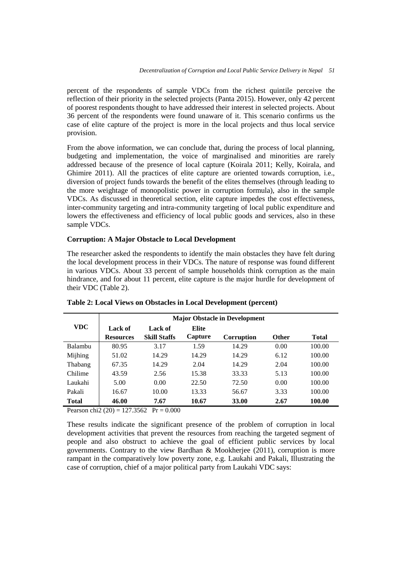percent of the respondents of sample VDCs from the richest quintile perceive the reflection of their priority in the selected projects (Panta 2015). However, only 42 percent of poorest respondents thought to have addressed their interest in selected projects. About 36 percent of the respondents were found unaware of it. This scenario confirms us the case of elite capture of the project is more in the local projects and thus local service provision.

From the above information, we can conclude that, during the process of local planning, budgeting and implementation, the voice of marginalised and minorities are rarely addressed because of the presence of local capture (Koirala 2011; Kelly, Koirala, and Ghimire 2011). All the practices of elite capture are oriented towards corruption, i.e., diversion of project funds towards the benefit of the elites themselves (through leading to the more weightage of monopolistic power in corruption formula), also in the sample VDCs. As discussed in theoretical section, elite capture impedes the cost effectiveness, inter-community targeting and intra-community targeting of local public expenditure and lowers the effectiveness and efficiency of local public goods and services, also in these sample VDCs.

# **Corruption: A Major Obstacle to Local Development**

The researcher asked the respondents to identify the main obstacles they have felt during the local development process in their VDCs. The nature of response was found different in various VDCs. About 33 percent of sample households think corruption as the main hindrance, and for about 11 percent, elite capture is the major hurdle for development of their VDC (Table 2).

| <b>VDC</b>   | <b>Major Obstacle in Development</b> |                                |                  |            |              |              |  |  |
|--------------|--------------------------------------|--------------------------------|------------------|------------|--------------|--------------|--|--|
|              | Lack of<br><b>Resources</b>          | Lack of<br><b>Skill Staffs</b> | Elite<br>Capture | Corruption | <b>Other</b> | <b>Total</b> |  |  |
| Balambu      | 80.95                                | 3.17                           | 1.59             | 14.29      | 0.00         | 100.00       |  |  |
| Mijhing      | 51.02                                | 14.29                          | 14.29            | 14.29      | 6.12         | 100.00       |  |  |
| Thabang      | 67.35                                | 14.29                          | 2.04             | 14.29      | 2.04         | 100.00       |  |  |
| Chilime      | 43.59                                | 2.56                           | 15.38            | 33.33      | 5.13         | 100.00       |  |  |
| Laukahi      | 5.00                                 | 0.00                           | 22.50            | 72.50      | 0.00         | 100.00       |  |  |
| Pakali       | 16.67                                | 10.00                          | 13.33            | 56.67      | 3.33         | 100.00       |  |  |
| <b>Total</b> | 46.00                                | 7.67                           | 10.67            | 33.00      | 2.67         | 100.00       |  |  |

**Table 2: Local Views on Obstacles in Local Development (percent)**

Pearson chi2 (20) = 127.3562 Pr =  $0.000$ 

These results indicate the significant presence of the problem of corruption in local development activities that prevent the resources from reaching the targeted segment of people and also obstruct to achieve the goal of efficient public services by local governments. Contrary to the view Bardhan & Mookherjee (2011), corruption is more rampant in the comparatively low poverty zone, e.g. Laukahi and Pakali, Illustrating the case of corruption, chief of a major political party from Laukahi VDC says: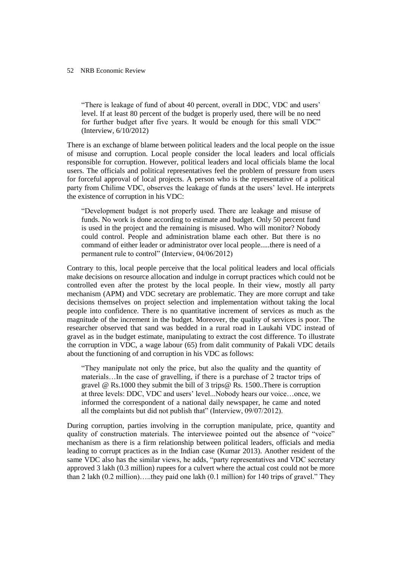"There is leakage of fund of about 40 percent, overall in DDC, VDC and users' level. If at least 80 percent of the budget is properly used, there will be no need for further budget after five years. It would be enough for this small VDC" (Interview, 6/10/2012)

There is an exchange of blame between political leaders and the local people on the issue of misuse and corruption. Local people consider the local leaders and local officials responsible for corruption. However, political leaders and local officials blame the local users. The officials and political representatives feel the problem of pressure from users for forceful approval of local projects. A person who is the representative of a political party from Chilime VDC, observes the leakage of funds at the users' level. He interprets the existence of corruption in his VDC:

"Development budget is not properly used. There are leakage and misuse of funds. No work is done according to estimate and budget. Only 50 percent fund is used in the project and the remaining is misused. Who will monitor? Nobody could control. People and administration blame each other. But there is no command of either leader or administrator over local people.....there is need of a permanent rule to control" (Interview, 04/06/2012)

Contrary to this, local people perceive that the local political leaders and local officials make decisions on resource allocation and indulge in corrupt practices which could not be controlled even after the protest by the local people. In their view, mostly all party mechanism (APM) and VDC secretary are problematic. They are more corrupt and take decisions themselves on project selection and implementation without taking the local people into confidence. There is no quantitative increment of services as much as the magnitude of the increment in the budget. Moreover, the quality of services is poor. The researcher observed that sand was bedded in a rural road in Laukahi VDC instead of gravel as in the budget estimate, manipulating to extract the cost difference. To illustrate the corruption in VDC, a wage labour (65) from dalit community of Pakali VDC details about the functioning of and corruption in his VDC as follows:

"They manipulate not only the price, but also the quality and the quantity of materials…In the case of gravelling, if there is a purchase of 2 tractor trips of gravel @ Rs.1000 they submit the bill of 3 trips@ Rs. 1500..There is corruption at three levels: DDC, VDC and users' level...Nobody hears our voice…once, we informed the correspondent of a national daily newspaper, he came and noted all the complaints but did not publish that" (Interview, 09/07/2012).

During corruption, parties involving in the corruption manipulate, price, quantity and quality of construction materials. The interviewee pointed out the absence of "voice" mechanism as there is a firm relationship between political leaders, officials and media leading to corrupt practices as in the Indian case (Kumar 2013). Another resident of the same VDC also has the similar views, he adds, "party representatives and VDC secretary approved 3 lakh (0.3 million) rupees for a culvert where the actual cost could not be more than 2 lakh (0.2 million)…..they paid one lakh (0.1 million) for 140 trips of gravel." They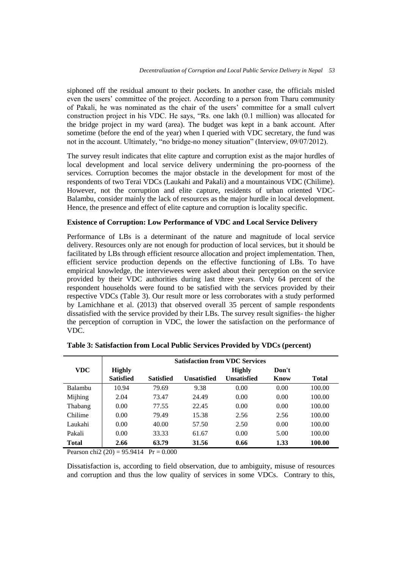siphoned off the residual amount to their pockets. In another case, the officials misled even the users' committee of the project. According to a person from Tharu community of Pakali, he was nominated as the chair of the users' committee for a small culvert construction project in his VDC. He says, "Rs. one lakh (0.1 million) was allocated for the bridge project in my ward (area). The budget was kept in a bank account. After sometime (before the end of the year) when I queried with VDC secretary, the fund was not in the account. Ultimately, "no bridge-no money situation" (Interview, 09/07/2012).

The survey result indicates that elite capture and corruption exist as the major hurdles of local development and local service delivery undermining the pro-poorness of the services. Corruption becomes the major obstacle in the development for most of the respondents of two Terai VDCs (Laukahi and Pakali) and a mountainous VDC (Chilime). However, not the corruption and elite capture, residents of urban oriented VDC-Balambu, consider mainly the lack of resources as the major hurdle in local development. Hence, the presence and effect of elite capture and corruption is locality specific.

## **Existence of Corruption: Low Performance of VDC and Local Service Delivery**

Performance of LBs is a determinant of the nature and magnitude of local service delivery. Resources only are not enough for production of local services, but it should be facilitated by LBs through efficient resource allocation and project implementation. Then, efficient service production depends on the effective functioning of LBs. To have empirical knowledge, the interviewees were asked about their perception on the service provided by their VDC authorities during last three years. Only 64 percent of the respondent households were found to be satisfied with the services provided by their respective VDCs (Table 3). Our result more or less corroborates with a study performed by Lamichhane et al. (2013) that observed overall 35 percent of sample respondents dissatisfied with the service provided by their LBs. The survey result signifies- the higher the perception of corruption in VDC, the lower the satisfaction on the performance of VDC.

|                | <b>Satisfaction from VDC Services</b> |                  |             |               |       |              |  |
|----------------|---------------------------------------|------------------|-------------|---------------|-------|--------------|--|
| VDC.           | <b>Highly</b>                         |                  |             | <b>Highly</b> | Don't |              |  |
|                | <b>Satisfied</b>                      | <b>Satisfied</b> | Unsatisfied | Unsatisfied   | Know  | <b>Total</b> |  |
| <b>Balambu</b> | 10.94                                 | 79.69            | 9.38        | 0.00          | 0.00  | 100.00       |  |
| Mijhing        | 2.04                                  | 73.47            | 24.49       | 0.00          | 0.00  | 100.00       |  |
| Thabang        | 0.00                                  | 77.55            | 22.45       | 0.00          | 0.00  | 100.00       |  |
| Chilime        | 0.00                                  | 79.49            | 15.38       | 2.56          | 2.56  | 100.00       |  |
| Laukahi        | 0.00                                  | 40.00            | 57.50       | 2.50          | 0.00  | 100.00       |  |
| Pakali         | 0.00                                  | 33.33            | 61.67       | 0.00          | 5.00  | 100.00       |  |
| <b>Total</b>   | 2.66                                  | 63.79            | 31.56       | 0.66          | 1.33  | 100.00       |  |

| Table 3: Satisfaction from Local Public Services Provided by VDCs (percent) |  |  |  |
|-----------------------------------------------------------------------------|--|--|--|
|-----------------------------------------------------------------------------|--|--|--|

Pearson chi2 (20) =  $95.9414$  Pr = 0.000

Dissatisfaction is, according to field observation, due to ambiguity, misuse of resources and corruption and thus the low quality of services in some VDCs. Contrary to this,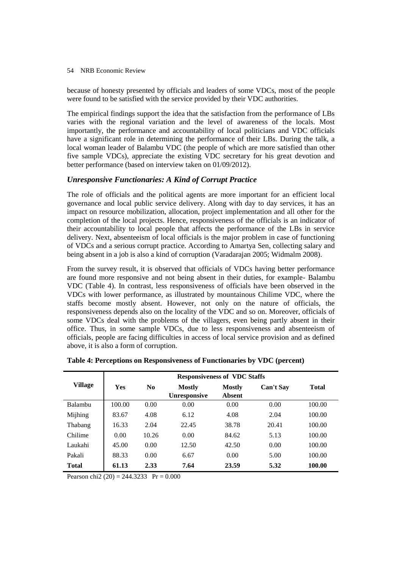because of honesty presented by officials and leaders of some VDCs, most of the people were found to be satisfied with the service provided by their VDC authorities.

The empirical findings support the idea that the satisfaction from the performance of LBs varies with the regional variation and the level of awareness of the locals. Most importantly, the performance and accountability of local politicians and VDC officials have a significant role in determining the performance of their LBs. During the talk, a local woman leader of Balambu VDC (the people of which are more satisfied than other five sample VDCs), appreciate the existing VDC secretary for his great devotion and better performance (based on interview taken on 01/09/2012).

# *Unresponsive Functionaries: A Kind of Corrupt Practice*

The role of officials and the political agents are more important for an efficient local governance and local public service delivery. Along with day to day services, it has an impact on resource mobilization, allocation, project implementation and all other for the completion of the local projects. Hence, responsiveness of the officials is an indicator of their accountability to local people that affects the performance of the LBs in service delivery. Next, absenteeism of local officials is the major problem in case of functioning of VDCs and a serious corrupt practice. According to Amartya Sen, collecting salary and being absent in a job is also a kind of corruption (Varadarajan 2005; Widmalm 2008).

From the survey result, it is observed that officials of VDCs having better performance are found more responsive and not being absent in their duties, for example- Balambu VDC (Table 4). In contrast, less responsiveness of officials have been observed in the VDCs with lower performance, as illustrated by mountainous Chilime VDC, where the staffs become mostly absent. However, not only on the nature of officials, the responsiveness depends also on the locality of the VDC and so on. Moreover, officials of some VDCs deal with the problems of the villagers, even being partly absent in their office. Thus, in some sample VDCs, due to less responsiveness and absenteeism of officials, people are facing difficulties in access of local service provision and as defined above, it is also a form of corruption.

|                | <b>Responsiveness of VDC Staffs</b> |                |                                      |                                |                  |        |  |
|----------------|-------------------------------------|----------------|--------------------------------------|--------------------------------|------------------|--------|--|
| <b>Village</b> | Yes                                 | N <sub>0</sub> | <b>Mostly</b><br><b>Unresponsive</b> | <b>Mostly</b><br><b>Absent</b> | <b>Can't Say</b> | Total  |  |
| <b>Balambu</b> | 100.00                              | 0.00           | 0.00                                 | 0.00                           | 0.00             | 100.00 |  |
| Mijhing        | 83.67                               | 4.08           | 6.12                                 | 4.08                           | 2.04             | 100.00 |  |
| Thabang        | 16.33                               | 2.04           | 22.45                                | 38.78                          | 20.41            | 100.00 |  |
| Chilime        | 0.00                                | 10.26          | 0.00                                 | 84.62                          | 5.13             | 100.00 |  |
| Laukahi        | 45.00                               | 0.00           | 12.50                                | 42.50                          | 0.00             | 100.00 |  |
| Pakali         | 88.33                               | 0.00           | 6.67                                 | 0.00                           | 5.00             | 100.00 |  |
| <b>Total</b>   | 61.13                               | 2.33           | 7.64                                 | 23.59                          | 5.32             | 100.00 |  |

**Table 4: Perceptions on Responsiveness of Functionaries by VDC (percent)**

Pearson chi2 (20) = 244.3233 Pr =  $0.000$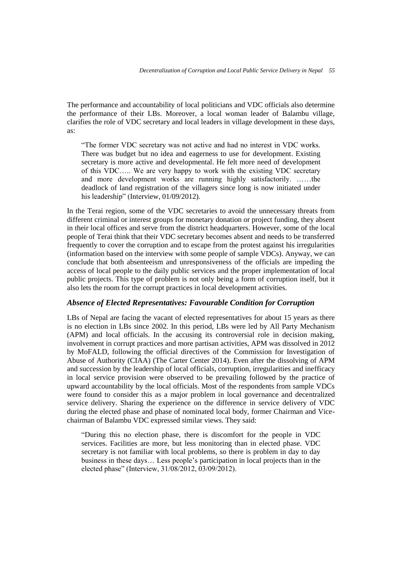The performance and accountability of local politicians and VDC officials also determine the performance of their LBs. Moreover, a local woman leader of Balambu village, clarifies the role of VDC secretary and local leaders in village development in these days, as:

"The former VDC secretary was not active and had no interest in VDC works. There was budget but no idea and eagerness to use for development. Existing secretary is more active and developmental. He felt more need of development of this VDC….. We are very happy to work with the existing VDC secretary and more development works are running highly satisfactorily. ……the deadlock of land registration of the villagers since long is now initiated under his leadership" (Interview, 01/09/2012).

In the Terai region, some of the VDC secretaries to avoid the unnecessary threats from different criminal or interest groups for monetary donation or project funding, they absent in their local offices and serve from the district headquarters. However, some of the local people of Terai think that their VDC secretary becomes absent and needs to be transferred frequently to cover the corruption and to escape from the protest against his irregularities (information based on the interview with some people of sample VDCs). Anyway, we can conclude that both absenteeism and unresponsiveness of the officials are impeding the access of local people to the daily public services and the proper implementation of local public projects. This type of problem is not only being a form of corruption itself, but it also lets the room for the corrupt practices in local development activities.

# *Absence of Elected Representatives: Favourable Condition for Corruption*

LBs of Nepal are facing the vacant of elected representatives for about 15 years as there is no election in LBs since 2002. In this period, LBs were led by All Party Mechanism (APM) and local officials. In the accusing its controversial role in decision making, involvement in corrupt practices and more partisan activities, APM was dissolved in 2012 by MoFALD, following the official directives of the Commission for Investigation of Abuse of Authority (CIAA) (The Carter Center 2014). Even after the dissolving of APM and succession by the leadership of local officials, corruption, irregularities and inefficacy in local service provision were observed to be prevailing followed by the practice of upward accountability by the local officials. Most of the respondents from sample VDCs were found to consider this as a major problem in local governance and decentralized service delivery. Sharing the experience on the difference in service delivery of VDC during the elected phase and phase of nominated local body, former Chairman and Vicechairman of Balambu VDC expressed similar views. They said:

"During this no election phase, there is discomfort for the people in VDC services. Facilities are more, but less monitoring than in elected phase. VDC secretary is not familiar with local problems, so there is problem in day to day business in these days… Less people's participation in local projects than in the elected phase" (Interview, 31/08/2012, 03/09/2012).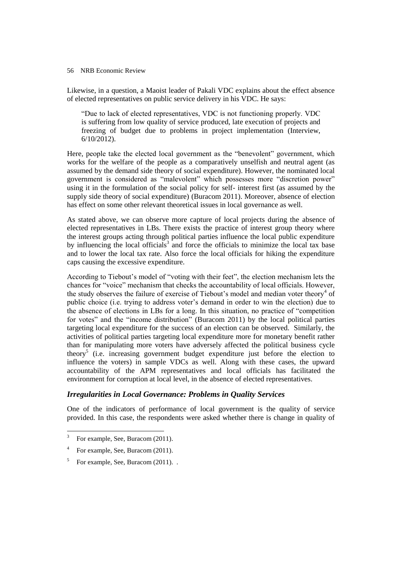Likewise, in a question, a Maoist leader of Pakali VDC explains about the effect absence of elected representatives on public service delivery in his VDC. He says:

"Due to lack of elected representatives, VDC is not functioning properly. VDC is suffering from low quality of service produced, late execution of projects and freezing of budget due to problems in project implementation (Interview, 6/10/2012).

Here, people take the elected local government as the "benevolent" government, which works for the welfare of the people as a comparatively unselfish and neutral agent (as assumed by the demand side theory of social expenditure). However, the nominated local government is considered as "malevolent" which possesses more "discretion power" using it in the formulation of the social policy for self- interest first (as assumed by the supply side theory of social expenditure) (Buracom 2011). Moreover, absence of election has effect on some other relevant theoretical issues in local governance as well.

As stated above, we can observe more capture of local projects during the absence of elected representatives in LBs. There exists the practice of interest group theory where the interest groups acting through political parties influence the local public expenditure by influencing the local officials<sup>3</sup> and force the officials to minimize the local tax base and to lower the local tax rate. Also force the local officials for hiking the expenditure caps causing the excessive expenditure.

According to Tiebout's model of "voting with their feet", the election mechanism lets the chances for "voice" mechanism that checks the accountability of local officials. However, the study observes the failure of exercise of Tiebout's model and median voter theory<sup>4</sup> of public choice (i.e. trying to address voter's demand in order to win the election) due to the absence of elections in LBs for a long. In this situation, no practice of "competition for votes" and the "income distribution" (Buracom 2011) by the local political parties targeting local expenditure for the success of an election can be observed. Similarly, the activities of political parties targeting local expenditure more for monetary benefit rather than for manipulating more voters have adversely affected the political business cycle theory<sup>5</sup> (i.e. increasing government budget expenditure just before the election to influence the voters) in sample VDCs as well. Along with these cases, the upward accountability of the APM representatives and local officials has facilitated the environment for corruption at local level, in the absence of elected representatives.

# *Irregularities in Local Governance: Problems in Quality Services*

One of the indicators of performance of local government is the quality of service provided. In this case, the respondents were asked whether there is change in quality of

 3 For example, See, Buracom (2011).

<sup>4</sup> For example, See, Buracom (2011).

<sup>5</sup> For example, See, Buracom (2011). .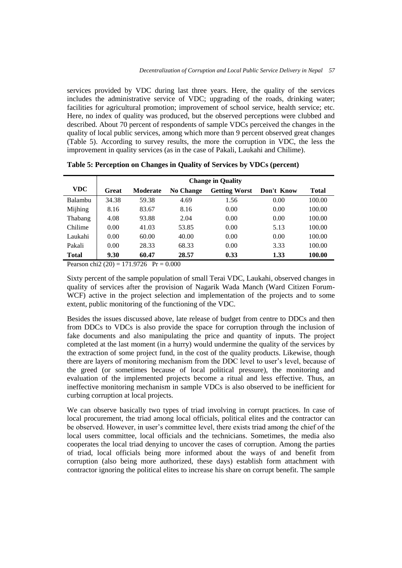services provided by VDC during last three years. Here, the quality of the services includes the administrative service of VDC; upgrading of the roads, drinking water; facilities for agricultural promotion; improvement of school service, health service; etc. Here, no index of quality was produced, but the observed perceptions were clubbed and described. About 70 percent of respondents of sample VDCs perceived the changes in the quality of local public services, among which more than 9 percent observed great changes (Table 5). According to survey results, the more the corruption in VDC, the less the improvement in quality services (as in the case of Pakali, Laukahi and Chilime).

|              | <b>Change in Quality</b> |          |                  |                      |            |              |
|--------------|--------------------------|----------|------------------|----------------------|------------|--------------|
| VDC.         | Great                    | Moderate | <b>No Change</b> | <b>Getting Worst</b> | Don't Know | <b>Total</b> |
| Balambu      | 34.38                    | 59.38    | 4.69             | 1.56                 | 0.00       | 100.00       |
| Mijhing      | 8.16                     | 83.67    | 8.16             | 0.00                 | 0.00       | 100.00       |
| Thabang      | 4.08                     | 93.88    | 2.04             | 0.00                 | 0.00       | 100.00       |
| Chilime      | 0.00                     | 41.03    | 53.85            | 0.00                 | 5.13       | 100.00       |
| Laukahi      | 0.00                     | 60.00    | 40.00            | 0.00                 | 0.00       | 100.00       |
| Pakali       | 0.00                     | 28.33    | 68.33            | 0.00                 | 3.33       | 100.00       |
| <b>Total</b> | 9.30                     | 60.47    | 28.57            | 0.33                 | 1.33       | 100.00       |

**Table 5: Perception on Changes in Quality of Services by VDCs (percent)**

Pearson chi2 (20) = 171.9726 Pr =  $0.000$ 

Sixty percent of the sample population of small Terai VDC, Laukahi, observed changes in quality of services after the provision of Nagarik Wada Manch (Ward Citizen Forum-WCF) active in the project selection and implementation of the projects and to some extent, public monitoring of the functioning of the VDC.

Besides the issues discussed above, late release of budget from centre to DDCs and then from DDCs to VDCs is also provide the space for corruption through the inclusion of fake documents and also manipulating the price and quantity of inputs. The project completed at the last moment (in a hurry) would undermine the quality of the services by the extraction of some project fund, in the cost of the quality products. Likewise, though there are layers of monitoring mechanism from the DDC level to user's level, because of the greed (or sometimes because of local political pressure), the monitoring and evaluation of the implemented projects become a ritual and less effective. Thus, an ineffective monitoring mechanism in sample VDCs is also observed to be inefficient for curbing corruption at local projects.

We can observe basically two types of triad involving in corrupt practices. In case of local procurement, the triad among local officials, political elites and the contractor can be observed. However, in user's committee level, there exists triad among the chief of the local users committee, local officials and the technicians. Sometimes, the media also cooperates the local triad denying to uncover the cases of corruption. Among the parties of triad, local officials being more informed about the ways of and benefit from corruption (also being more authorized, these days) establish form attachment with contractor ignoring the political elites to increase his share on corrupt benefit. The sample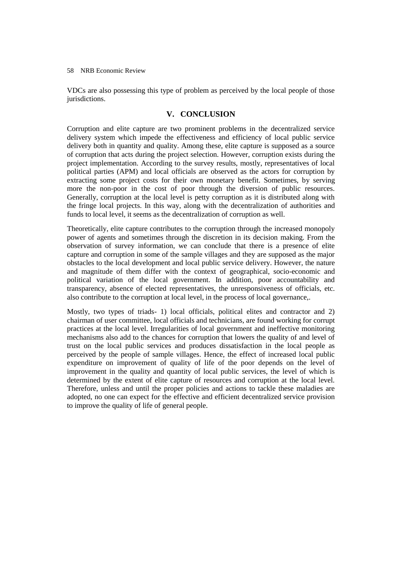VDCs are also possessing this type of problem as perceived by the local people of those jurisdictions.

# **V. CONCLUSION**

Corruption and elite capture are two prominent problems in the decentralized service delivery system which impede the effectiveness and efficiency of local public service delivery both in quantity and quality. Among these, elite capture is supposed as a source of corruption that acts during the project selection. However, corruption exists during the project implementation. According to the survey results, mostly, representatives of local political parties (APM) and local officials are observed as the actors for corruption by extracting some project costs for their own monetary benefit. Sometimes, by serving more the non-poor in the cost of poor through the diversion of public resources. Generally, corruption at the local level is petty corruption as it is distributed along with the fringe local projects. In this way, along with the decentralization of authorities and funds to local level, it seems as the decentralization of corruption as well.

Theoretically, elite capture contributes to the corruption through the increased monopoly power of agents and sometimes through the discretion in its decision making. From the observation of survey information, we can conclude that there is a presence of elite capture and corruption in some of the sample villages and they are supposed as the major obstacles to the local development and local public service delivery. However, the nature and magnitude of them differ with the context of geographical, socio-economic and political variation of the local government. In addition, poor accountability and transparency, absence of elected representatives, the unresponsiveness of officials, etc. also contribute to the corruption at local level, in the process of local governance,.

Mostly, two types of triads- 1) local officials, political elites and contractor and 2) chairman of user committee, local officials and technicians, are found working for corrupt practices at the local level. Irregularities of local government and ineffective monitoring mechanisms also add to the chances for corruption that lowers the quality of and level of trust on the local public services and produces dissatisfaction in the local people as perceived by the people of sample villages. Hence, the effect of increased local public expenditure on improvement of quality of life of the poor depends on the level of improvement in the quality and quantity of local public services, the level of which is determined by the extent of elite capture of resources and corruption at the local level. Therefore, unless and until the proper policies and actions to tackle these maladies are adopted, no one can expect for the effective and efficient decentralized service provision to improve the quality of life of general people.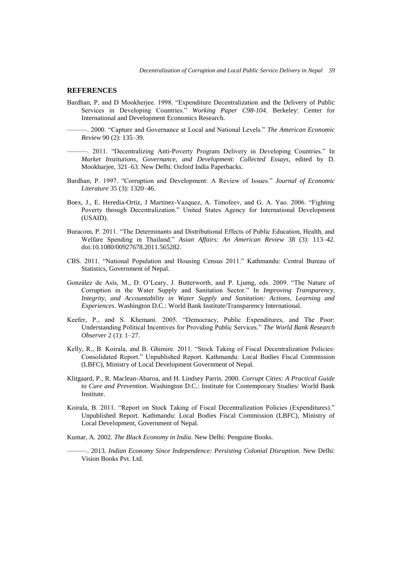#### **REFERENCES**

Bardhan, P, and D Mookherjee. 1998. "Expenditure Decentralization and the Delivery of Public Services in Developing Countries." *Working Paper C98-104*. Berkeley: Center for International and Development Economics Research.

———. 2000. "Capture and Governance at Local and National Levels." *The American Economic Review* 90 (2): 135–39.

———. 2011. "Decentralizing Anti-Poverty Program Delivery in Developing Countries." In *Market Institutions, Governance, and Development: Collected Essays*, edited by D. Mookharjee, 321–63. New Delhi: Oxford India Paperbacks.

- Bardhan, P. 1997. "Corruption and Development: A Review of Issues." *Journal of Economic Literature* 35 (3): 1320–46.
- Boex, J., E. Heredia-Ortiz, J Martinez-Vazquez, A. Timofeev, and G. A. Yao. 2006. "Fighting Poverty through Decentralization." United States Agency for International Development (USAID).
- Buracom, P. 2011. "The Determinants and Distributional Effects of Public Education, Health, and Welfare Spending in Thailand." *Asian Affairs: An American Review* 38 (3): 113–42. doi:10.1080/00927678.2011.565282.
- CBS. 2011. "National Population and Housing Census 2011." Kathmandu: Central Bureau of Statistics, Government of Nepal.
- González de Asís, M., D. O'Leary, J. Butterworth, and P. Ljumg, eds. 2009. "The Nature of Corruption in the Water Supply and Sanitation Sector." In *Improving Transparency, Integrity, and Accountability in Water Supply and Sanitation: Actions, Learning and Experiences*. Washington D.C.: World Bank Institute/Transparency International.
- Keefer, P., and S. Khemani. 2005. "Democracy, Public Expenditures, and The Poor: Understanding Political Incentives for Providing Public Services." *The World Bank Research Observer* 2 (1): 1–27.
- Kelly, R., B. Koirala, and B. Ghimire. 2011. "Stock Taking of Fiscal Decentralization Policies: Consolidated Report." Unpublished Report. Kathmandu: Local Bodies Fiscal Commission (LBFC), Ministry of Local Development Government of Nepal.
- Klitgaard, P., R. Maclean-Abaroa, and H. Lindsey Parris. 2000. *Corrupt Cities: A Practical Guide to Cure and Prevention.* Washington D.C.: Institute for Contemporary Studies/ World Bank Institute.
- Koirala, B. 2011. "Report on Stock Taking of Fiscal Decentralization Policies (Expenditures)." Unpublished Report. Kathmandu: Local Bodies Fiscal Commission (LBFC), Ministry of Local Development, Government of Nepal.
- Kumar, A. 2002. *The Black Economy in India*. New Delhi: Penguine Books.
	- ———. 2013. *Indian Economy Since Independence: Persisting Colonial Disruption.* New Delhi: Vision Books Pvt. Ltd.